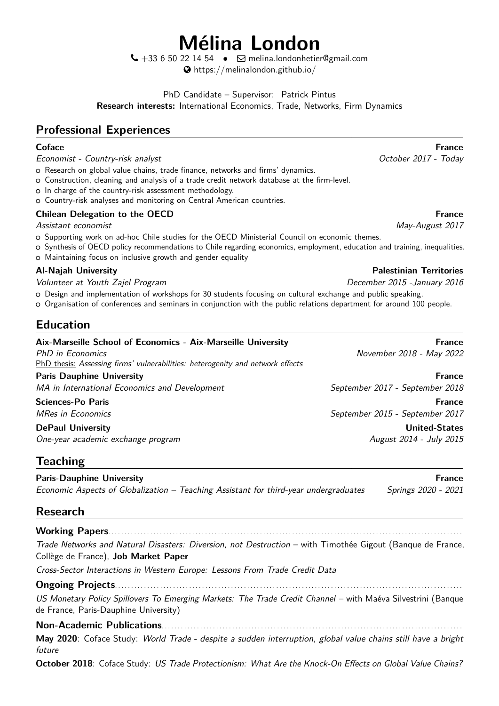# **Mélina London**

 $\bigcup$  +33 6 50 22 14 54 •  $\Box$  [melina.londonhetier@gmail.com](mailto:melina.londonhetier@gmail.com) [https://melinalondon.github.io/](http://https://melinalondon.github.io/)

PhD Candidate – Supervisor: [Patrick Pintus](https://sites.google.com/site/patrickpintus/) **Research interests:** International Economics, Trade, Networks, Firm Dynamics

# **Professional Experiences**

Economist - Country-risk analyst **Exercise State Country-risk** analyst **Country-risk** analyst **Country-risk** analyst

- o Research on global value chains, trade finance, networks and firms' dynamics.
- o Construction, cleaning and analysis of a trade credit network database at the firm-level.
- o In charge of the country-risk assessment methodology.
- o Country-risk analyses and monitoring on Central American countries.

### **Chilean Delegation to the OECD France France France France France France**

Assistant economist May-August 2017

- o Supporting work on ad-hoc Chile studies for the OECD Ministerial Council on economic themes.
- <sup>+</sup> Synthesis of OECD policy recommendations to Chile regarding economics, employment, education and training, inequalities.
- o Maintaining focus on inclusive growth and gender equality

### **Al-Najah University Palestinian Territories**

Volunteer at Youth Zajel Program December 2015 -January 2016

o Design and implementation of workshops for 30 students focusing on cultural exchange and public speaking.

<sup>+</sup> Organisation of conferences and seminars in conjunction with the public relations department for around 100 people.

# **Education**

| Aix-Marseille School of Economics - Aix-Marseille University<br>PhD in Economics<br>PhD thesis: Assessing firms' vulnerabilities: heterogenity and network effects | <b>France</b><br>November 2018 - May 2022 |
|--------------------------------------------------------------------------------------------------------------------------------------------------------------------|-------------------------------------------|
| <b>Paris Dauphine University</b>                                                                                                                                   | France                                    |
| MA in International Economics and Development                                                                                                                      | September 2017 - September 2018           |
| <b>Sciences-Po Paris</b>                                                                                                                                           | <b>France</b>                             |
| <b>MRes in Economics</b>                                                                                                                                           | September 2015 - September 2017           |
| <b>DePaul University</b>                                                                                                                                           | <b>United-States</b>                      |
| One-year academic exchange program                                                                                                                                 | August 2014 - July 2015                   |

## **Teaching**

**Paris-Dauphine University France According to the Contract of Contract According Trance Prance According to the Contract Oriental According Trance Prance According to the Contract of Contract According to the Contract of** Economic Aspects of Globalization - Teaching Assistant for third-year undergraduates Springs 2020 - 2021

## **Research**

**Working Papers**. . . . . . . . . . . . . . . . . . . . . . . . . . . . . . . . . . . . . . . . . . . . . . . . . . . . . . . . . . . . . . . . . . . . . . . . . . . . . . . . . . . . . . . . . . . . . . . . . . . . . . . . . . . . . .

[Trade Networks and Natural Disasters: Diversion, not Destruction](https://melinalondon.github.io/files/Gigout_London_JMP.pdf) – with [Timothée Gigout](https://sites.google.com/view/timotheegigout) (Banque de France, Collège de France), **Job Market Paper**

[Cross-Sector Interactions in Western Europe: Lessons From Trade Credit Data](https://melinalondon.github.io/files/London_GCnetwork.pdf)

### **Ongoing Projects**. . . . . . . . . . . . . . . . . . . . . . . . . . . . . . . . . . . . . . . . . . . . . . . . . . . . . . . . . . . . . . . . . . . . . . . . . . . . . . . . . . . . . . . . . . . . . . . . . . . . . . . . . . . .

US Monetary Policy Spillovers To Emerging Markets: The Trade Credit Channel – with Maéva Silvestrini (Banque de France, Paris-Dauphine University)

### **Non-Academic Publications**. . . . . . . . . . . . . . . . . . . . . . . . . . . . . . . . . . . . . . . . . . . . . . . . . . . . . . . . . . . . . . . . . . . . . . . . . . . . . . . . . . . . . . . . . . . . . .

**May 2020**: Coface Study: World Trade - despite a sudden interruption, global value chains still have a bright future

**October 2018**: Coface Study: US Trade Protectionism: What Are the Knock-On Effects on Global Value Chains?

# **Coface France**